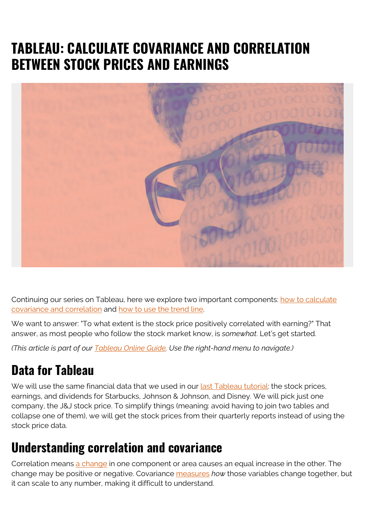# **TABLEAU: CALCULATE COVARIANCE AND CORRELATION BETWEEN STOCK PRICES AND EARNINGS**



Continuing our series on Tableau, here we explore two important components: [how to calculate](#page--1-0) [covariance and correlation](#page--1-0) and [how to use the trend line.](#page--1-0)

We want to answer: "To what extent is the stock price positively correlated with earning?" That answer, as most people who follow the stock market know, is *somewhat*. Let's get started.

*(This article is part of our [Tableau Online Guide.](https://blogs.bmc.com/blogs/tableau-basics/) Use the right-hand menu to navigate.)*

### **Data for Tableau**

We will use the same financial data that we used in our [last Tableau tutorial](https://blogs.bmc.com/blogs/tableau-join-tables-write-calculations/): the stock prices, earnings, and dividends for Starbucks, Johnson & Johnson, and Disney. We will pick just one company, the J&J stock price. To simplify things (meaning: avoid having to join two tables and collapse one of them), we will get the stock prices from their quarterly reports instead of using the stock price data.

### **Understanding correlation and covariance**

Correlation means [a change](https://www.investopedia.com/terms/c/correlation.asp) in one component or area causes an equal increase in the other. The change may be positive or negative. Covariance [measures](https://www.investopedia.com/terms/c/correlationcoefficient.asp) *how* those variables change together, but it can scale to any number, making it difficult to understand.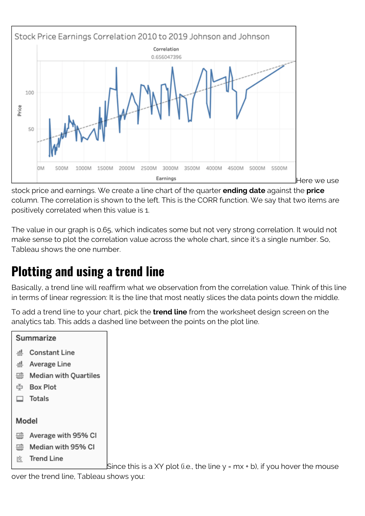

stock price and earnings. We create a line chart of the quarter **ending date** against the **price** column. The correlation is shown to the left. This is the CORR function. We say that two items are positively correlated when this value is 1.

The value in our graph is 0.65, which indicates some but not very strong correlation. It would not make sense to plot the correlation value across the whole chart, since it's a single number. So, Tableau shows the one number.

## **Plotting and using a trend line**

Basically, a trend line will reaffirm what we observation from the correlation value. Think of this line in terms of linear regression: It is the line that most neatly slices the data points down the middle.

To add a trend line to your chart, pick the **trend line** from the worksheet design screen on the analytics tab. This adds a dashed line between the points on the plot line.



Since this is a XY plot (i.e., the line  $y$  = mx + b), if you hover the mouse

over the trend line, Tableau shows you: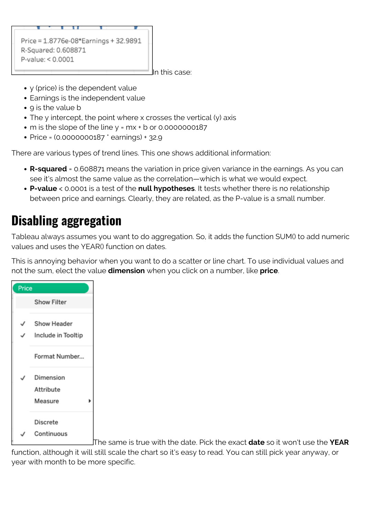

In this case:

- y (price) is the dependent value
- Earnings is the independent value
- 9 is the value b
- The y intercept, the point where x crosses the vertical (y) axis
- m is the slope of the line y = mx + b or 0.0000000187
- Price = (0.0000000187 \* earnings) + 32.9

There are various types of trend lines. This one shows additional information:

- **R-squared** = 0.608871 means the variation in price given variance in the earnings. As you can see it's almost the same value as the correlation—which is what we would expect.
- **P-value** < 0.0001 is a test of the **null hypotheses**. It tests whether there is no relationship between price and earnings. Clearly, they are related, as the P-value is a small number.

#### **Disabling aggregation**

Tableau always assumes you want to do aggregation. So, it adds the function SUM() to add numeric values and uses the YEAR() function on dates.

This is annoying behavior when you want to do a scatter or line chart. To use individual values and not the sum, elect the value **dimension** when you click on a number, like **price**.



The same is true with the date. Pick the exact **date** so it won't use the **YEAR**

function, although it will still scale the chart so it's easy to read. You can still pick year anyway, or year with month to be more specific.